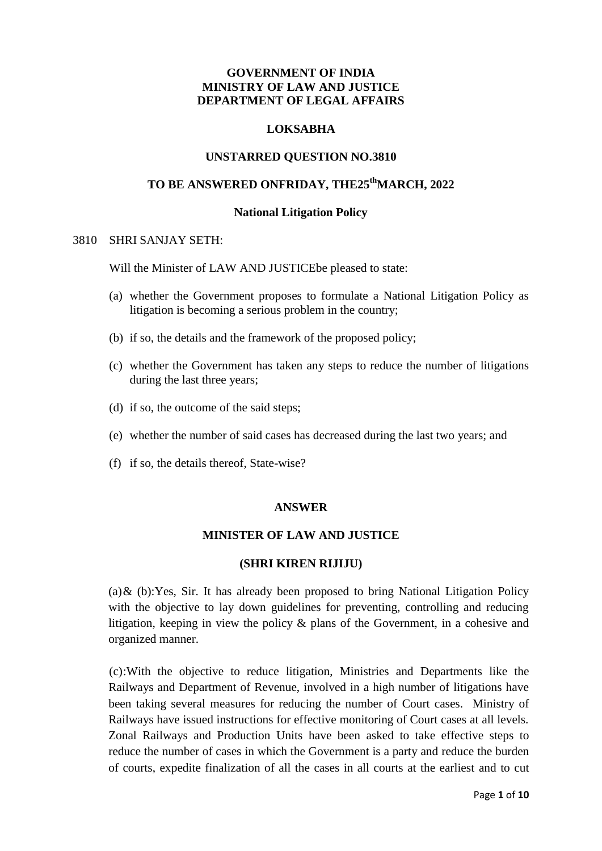# **GOVERNMENT OF INDIA MINISTRY OF LAW AND JUSTICE DEPARTMENT OF LEGAL AFFAIRS**

# **LOKSABHA**

#### **UNSTARRED QUESTION NO.3810**

# **TO BE ANSWERED ONFRIDAY, THE25thMARCH, 2022**

#### **National Litigation Policy**

#### 3810 SHRI SANJAY SETH:

Will the Minister of LAW AND JUSTICEbe pleased to state:

- (a) whether the Government proposes to formulate a National Litigation Policy as litigation is becoming a serious problem in the country;
- (b) if so, the details and the framework of the proposed policy;
- (c) whether the Government has taken any steps to reduce the number of litigations during the last three years;
- (d) if so, the outcome of the said steps;
- (e) whether the number of said cases has decreased during the last two years; and
- (f) if so, the details thereof, State-wise?

### **ANSWER**

### **MINISTER OF LAW AND JUSTICE**

#### **(SHRI KIREN RIJIJU)**

(a) & (b): Yes, Sir. It has already been proposed to bring National Litigation Policy with the objective to lay down guidelines for preventing, controlling and reducing litigation, keeping in view the policy & plans of the Government, in a cohesive and organized manner.

(c):With the objective to reduce litigation, Ministries and Departments like the Railways and Department of Revenue, involved in a high number of litigations have been taking several measures for reducing the number of Court cases. Ministry of Railways have issued instructions for effective monitoring of Court cases at all levels. Zonal Railways and Production Units have been asked to take effective steps to reduce the number of cases in which the Government is a party and reduce the burden of courts, expedite finalization of all the cases in all courts at the earliest and to cut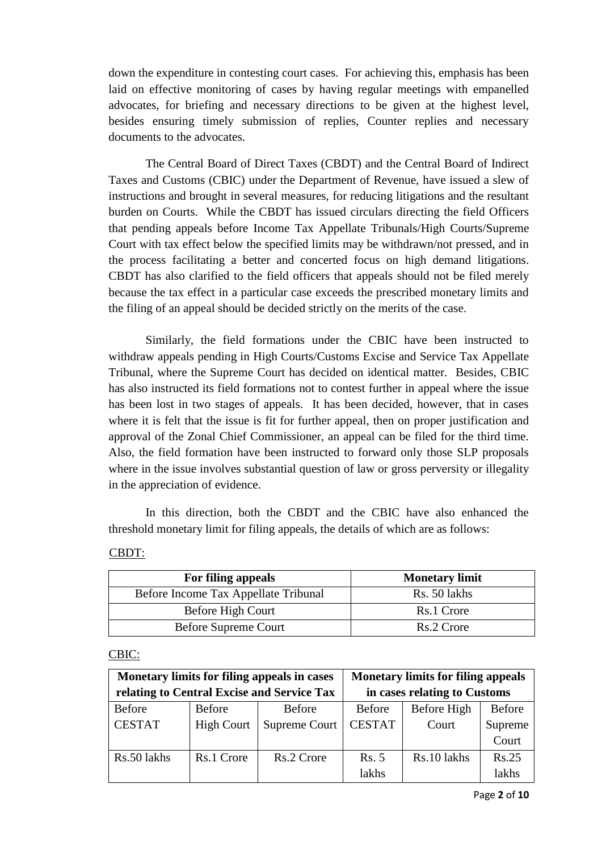down the expenditure in contesting court cases. For achieving this, emphasis has been laid on effective monitoring of cases by having regular meetings with empanelled advocates, for briefing and necessary directions to be given at the highest level, besides ensuring timely submission of replies, Counter replies and necessary documents to the advocates.

The Central Board of Direct Taxes (CBDT) and the Central Board of Indirect Taxes and Customs (CBIC) under the Department of Revenue, have issued a slew of instructions and brought in several measures, for reducing litigations and the resultant burden on Courts. While the CBDT has issued circulars directing the field Officers that pending appeals before Income Tax Appellate Tribunals/High Courts/Supreme Court with tax effect below the specified limits may be withdrawn/not pressed, and in the process facilitating a better and concerted focus on high demand litigations. CBDT has also clarified to the field officers that appeals should not be filed merely because the tax effect in a particular case exceeds the prescribed monetary limits and the filing of an appeal should be decided strictly on the merits of the case.

Similarly, the field formations under the CBIC have been instructed to withdraw appeals pending in High Courts/Customs Excise and Service Tax Appellate Tribunal, where the Supreme Court has decided on identical matter. Besides, CBIC has also instructed its field formations not to contest further in appeal where the issue has been lost in two stages of appeals. It has been decided, however, that in cases where it is felt that the issue is fit for further appeal, then on proper justification and approval of the Zonal Chief Commissioner, an appeal can be filed for the third time. Also, the field formation have been instructed to forward only those SLP proposals where in the issue involves substantial question of law or gross perversity or illegality in the appreciation of evidence.

In this direction, both the CBDT and the CBIC have also enhanced the threshold monetary limit for filing appeals, the details of which are as follows:

### CBDT:

| For filing appeals                   | <b>Monetary limit</b> |
|--------------------------------------|-----------------------|
| Before Income Tax Appellate Tribunal | Rs. 50 lakhs          |
| Before High Court                    | Rs.1 Crore            |
| Before Supreme Court                 | Rs.2 Crore            |

### CBIC:

| Monetary limits for filing appeals in cases |                   | <b>Monetary limits for filing appeals</b> |                              |             |               |  |
|---------------------------------------------|-------------------|-------------------------------------------|------------------------------|-------------|---------------|--|
| relating to Central Excise and Service Tax  |                   |                                           | in cases relating to Customs |             |               |  |
| <b>Before</b>                               | <b>Before</b>     | <b>Before</b>                             | <b>Before</b>                | Before High | <b>Before</b> |  |
| <b>CESTAT</b>                               | <b>High Court</b> | Supreme Court                             | <b>CESTAT</b>                | Court       | Supreme       |  |
|                                             |                   |                                           |                              |             | Court         |  |
| Rs.50 lakhs                                 | Rs.1 Crore        | Rs.2 Crore                                | Rs. 5                        | Rs.10 lakhs | Rs.25         |  |
|                                             |                   |                                           | lakhs                        |             | lakhs         |  |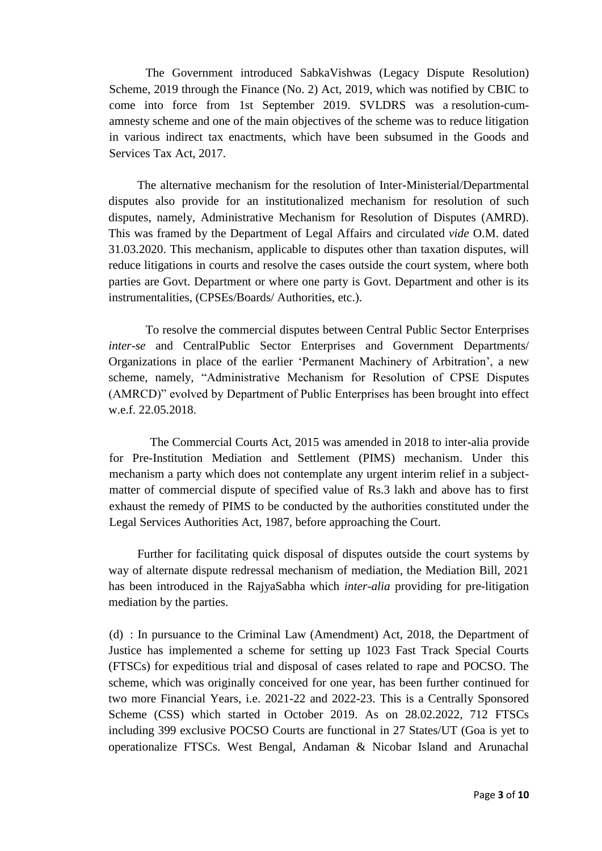The Government introduced SabkaVishwas (Legacy Dispute Resolution) Scheme, 2019 through the Finance (No. 2) Act, 2019, which was notified by CBIC to come into force from 1st September 2019. SVLDRS was a resolution-cumamnesty scheme and one of the main objectives of the scheme was to reduce litigation in various indirect tax enactments, which have been subsumed in the Goods and Services Tax Act, 2017.

The alternative mechanism for the resolution of Inter-Ministerial/Departmental disputes also provide for an institutionalized mechanism for resolution of such disputes, namely, Administrative Mechanism for Resolution of Disputes (AMRD). This was framed by the Department of Legal Affairs and circulated *vide* O.M. dated 31.03.2020. This mechanism, applicable to disputes other than taxation disputes, will reduce litigations in courts and resolve the cases outside the court system, where both parties are Govt. Department or where one party is Govt. Department and other is its instrumentalities, (CPSEs/Boards/ Authorities, etc.).

To resolve the commercial disputes between Central Public Sector Enterprises *inter-se* and CentralPublic Sector Enterprises and Government Departments/ Organizations in place of the earlier "Permanent Machinery of Arbitration", a new scheme, namely, "Administrative Mechanism for Resolution of CPSE Disputes (AMRCD)" evolved by Department of Public Enterprises has been brought into effect w.e.f. 22.05.2018.

The Commercial Courts Act, 2015 was amended in 2018 to inter-alia provide for Pre-Institution Mediation and Settlement (PIMS) mechanism. Under this mechanism a party which does not contemplate any urgent interim relief in a subjectmatter of commercial dispute of specified value of Rs.3 lakh and above has to first exhaust the remedy of PIMS to be conducted by the authorities constituted under the Legal Services Authorities Act, 1987, before approaching the Court.

Further for facilitating quick disposal of disputes outside the court systems by way of alternate dispute redressal mechanism of mediation, the Mediation Bill, 2021 has been introduced in the RajyaSabha which *inter-alia* providing for pre-litigation mediation by the parties.

(d) : In pursuance to the Criminal Law (Amendment) Act, 2018, the Department of Justice has implemented a scheme for setting up 1023 Fast Track Special Courts (FTSCs) for expeditious trial and disposal of cases related to rape and POCSO. The scheme, which was originally conceived for one year, has been further continued for two more Financial Years, i.e. 2021-22 and 2022-23. This is a Centrally Sponsored Scheme (CSS) which started in October 2019. As on 28.02.2022, 712 FTSCs including 399 exclusive POCSO Courts are functional in 27 States/UT (Goa is yet to operationalize FTSCs. West Bengal, Andaman & Nicobar Island and Arunachal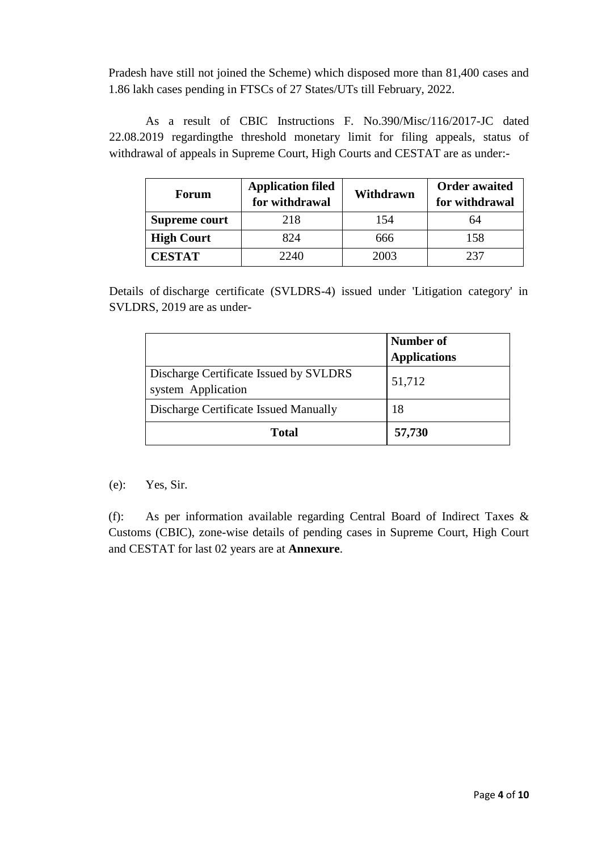Pradesh have still not joined the Scheme) which disposed more than 81,400 cases and 1.86 lakh cases pending in FTSCs of 27 States/UTs till February, 2022.

As a result of CBIC Instructions F. No.390/Misc/116/2017-JC dated 22.08.2019 regardingthe threshold monetary limit for filing appeals, status of withdrawal of appeals in Supreme Court, High Courts and CESTAT are as under:-

| <b>Forum</b>      | <b>Application filed</b><br>for withdrawal | Withdrawn | <b>Order awaited</b><br>for withdrawal |  |
|-------------------|--------------------------------------------|-----------|----------------------------------------|--|
| Supreme court     | 218                                        | 154       | 64                                     |  |
| <b>High Court</b> | 824                                        | 666       | 158                                    |  |
| <b>CESTAT</b>     | 2240                                       | 2003      | 237                                    |  |

Details of discharge certificate (SVLDRS-4) issued under 'Litigation category' in SVLDRS, 2019 are as under-

|                                                              | Number of<br><b>Applications</b> |
|--------------------------------------------------------------|----------------------------------|
| Discharge Certificate Issued by SVLDRS<br>system Application | 51,712                           |
| Discharge Certificate Issued Manually                        | 18                               |
| Total                                                        | 57,730                           |

# (e): Yes, Sir.

(f): As per information available regarding Central Board of Indirect Taxes & Customs (CBIC), zone-wise details of pending cases in Supreme Court, High Court and CESTAT for last 02 years are at **Annexure**.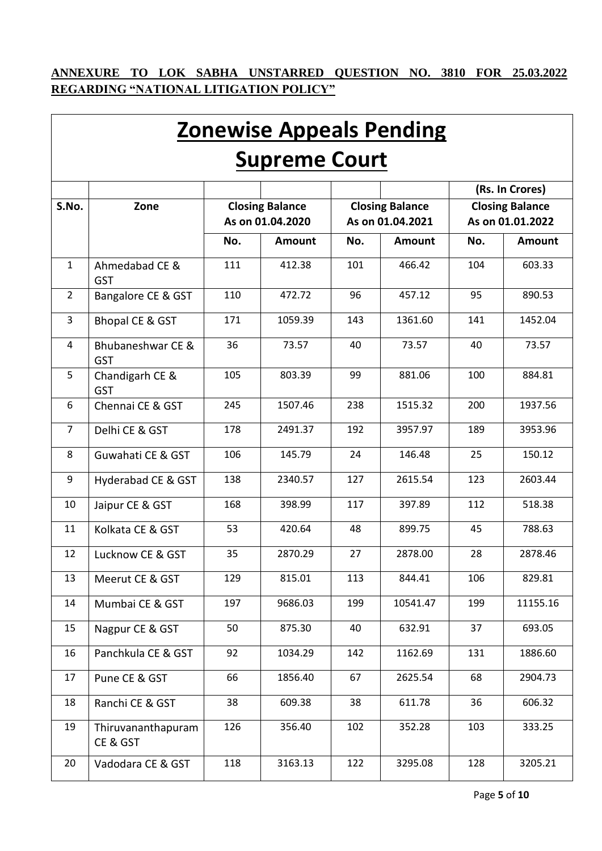# **ANNEXURE TO LOK SABHA UNSTARRED QUESTION NO. 3810 FOR 25.03.2022 REGARDING "NATIONAL LITIGATION POLICY"**

| <b>Zonewise Appeals Pending</b> |                                 |     |                        |     |                        |     |                        |  |  |  |  |  |
|---------------------------------|---------------------------------|-----|------------------------|-----|------------------------|-----|------------------------|--|--|--|--|--|
| <b>Supreme Court</b>            |                                 |     |                        |     |                        |     |                        |  |  |  |  |  |
| (Rs. In Crores)                 |                                 |     |                        |     |                        |     |                        |  |  |  |  |  |
| S.No.                           | Zone                            |     | <b>Closing Balance</b> |     | <b>Closing Balance</b> |     | <b>Closing Balance</b> |  |  |  |  |  |
|                                 |                                 |     | As on 01.04.2020       |     | As on 01.04.2021       |     | As on 01.01.2022       |  |  |  |  |  |
|                                 |                                 | No. | <b>Amount</b>          | No. | <b>Amount</b>          | No. | <b>Amount</b>          |  |  |  |  |  |
| $\mathbf{1}$                    | Ahmedabad CE &<br><b>GST</b>    | 111 | 412.38                 | 101 | 466.42                 | 104 | 603.33                 |  |  |  |  |  |
| $\overline{2}$                  | Bangalore CE & GST              | 110 | 472.72                 | 96  | 457.12                 | 95  | 890.53                 |  |  |  |  |  |
| 3                               | Bhopal CE & GST                 | 171 | 1059.39                | 143 | 1361.60                | 141 | 1452.04                |  |  |  |  |  |
| 4                               | Bhubaneshwar CE &<br><b>GST</b> | 36  | 73.57                  | 40  | 73.57                  | 40  | 73.57                  |  |  |  |  |  |
| 5                               | Chandigarh CE &<br><b>GST</b>   | 105 | 803.39                 | 99  | 881.06                 | 100 | 884.81                 |  |  |  |  |  |
| 6                               | Chennai CE & GST                | 245 | 1507.46                | 238 | 1515.32                | 200 | 1937.56                |  |  |  |  |  |
| 7                               | Delhi CE & GST                  | 178 | 2491.37                | 192 | 3957.97                | 189 | 3953.96                |  |  |  |  |  |
| 8                               | Guwahati CE & GST               | 106 | 145.79                 | 24  | 146.48                 | 25  | 150.12                 |  |  |  |  |  |
| 9                               | Hyderabad CE & GST              | 138 | 2340.57                | 127 | 2615.54                | 123 | 2603.44                |  |  |  |  |  |
| 10                              | Jaipur CE & GST                 | 168 | 398.99                 | 117 | 397.89                 | 112 | 518.38                 |  |  |  |  |  |
| 11                              | Kolkata CE & GST                | 53  | 420.64                 | 48  | 899.75                 | 45  | 788.63                 |  |  |  |  |  |
| 12                              | Lucknow CE & GST                | 35  | 2870.29                | 27  | 2878.00                | 28  | 2878.46                |  |  |  |  |  |
| 13                              | Meerut CE & GST                 | 129 | 815.01                 | 113 | 844.41                 | 106 | 829.81                 |  |  |  |  |  |
| 14                              | Mumbai CE & GST                 | 197 | 9686.03                | 199 | 10541.47               | 199 | 11155.16               |  |  |  |  |  |
| 15                              | Nagpur CE & GST                 | 50  | 875.30                 | 40  | 632.91                 | 37  | 693.05                 |  |  |  |  |  |
| 16                              | Panchkula CE & GST              | 92  | 1034.29                | 142 | 1162.69                | 131 | 1886.60                |  |  |  |  |  |
| 17                              | Pune CE & GST                   | 66  | 1856.40                | 67  | 2625.54                | 68  | 2904.73                |  |  |  |  |  |
| 18                              | Ranchi CE & GST                 | 38  | 609.38                 | 38  | 611.78                 | 36  | 606.32                 |  |  |  |  |  |
| 19                              | Thiruvananthapuram<br>CE & GST  | 126 | 356.40                 | 102 | 352.28                 | 103 | 333.25                 |  |  |  |  |  |
| 20                              | Vadodara CE & GST               | 118 | 3163.13                | 122 | 3295.08                | 128 | 3205.21                |  |  |  |  |  |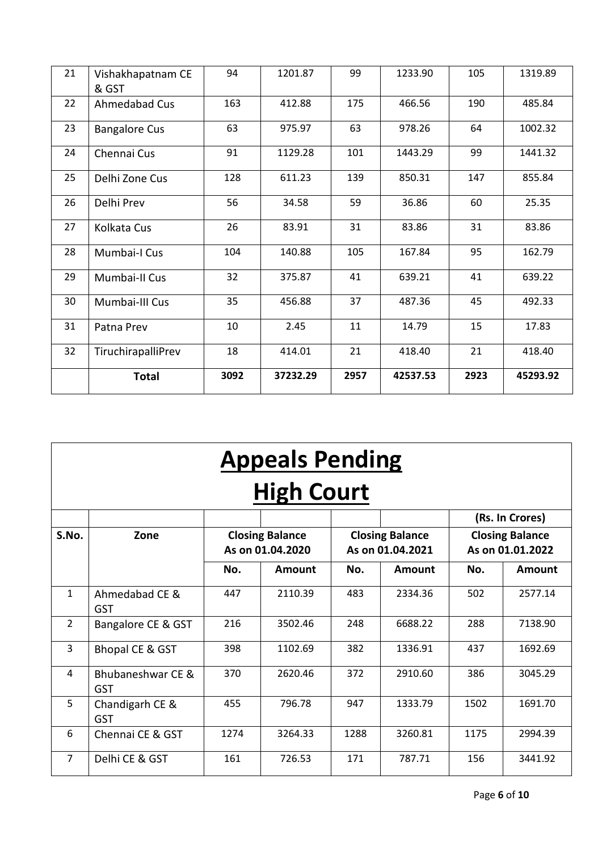| 21 | Vishakhapatnam CE<br>& GST | 94   | 1201.87  | 99   | 1233.90  | 105  | 1319.89  |
|----|----------------------------|------|----------|------|----------|------|----------|
| 22 | Ahmedabad Cus              | 163  | 412.88   | 175  | 466.56   | 190  | 485.84   |
| 23 | <b>Bangalore Cus</b>       | 63   | 975.97   | 63   | 978.26   | 64   | 1002.32  |
| 24 | Chennai Cus                | 91   | 1129.28  | 101  | 1443.29  | 99   | 1441.32  |
| 25 | Delhi Zone Cus             | 128  | 611.23   | 139  | 850.31   | 147  | 855.84   |
| 26 | Delhi Prev                 | 56   | 34.58    | 59   | 36.86    | 60   | 25.35    |
| 27 | Kolkata Cus                | 26   | 83.91    | 31   | 83.86    | 31   | 83.86    |
| 28 | Mumbai-I Cus               | 104  | 140.88   | 105  | 167.84   | 95   | 162.79   |
| 29 | Mumbai-II Cus              | 32   | 375.87   | 41   | 639.21   | 41   | 639.22   |
| 30 | Mumbai-III Cus             | 35   | 456.88   | 37   | 487.36   | 45   | 492.33   |
| 31 | Patna Prev                 | 10   | 2.45     | 11   | 14.79    | 15   | 17.83    |
| 32 | TiruchirapalliPrev         | 18   | 414.01   | 21   | 418.40   | 21   | 418.40   |
|    | <b>Total</b>               | 3092 | 37232.29 | 2957 | 42537.53 | 2923 | 45293.92 |

| <b>Appeals Pending</b> |
|------------------------|
| <b>High Court</b>      |

|                |                                 | (Rs. In Crores) |                        |      |                        |      |                        |
|----------------|---------------------------------|-----------------|------------------------|------|------------------------|------|------------------------|
|                |                                 |                 |                        |      |                        |      |                        |
| S.No.          | Zone                            |                 | <b>Closing Balance</b> |      | <b>Closing Balance</b> |      | <b>Closing Balance</b> |
|                |                                 |                 | As on 01.04.2020       |      | As on 01.04.2021       |      | As on 01.01.2022       |
|                |                                 | No.             | Amount                 | No.  | Amount                 | No.  | Amount                 |
| $\mathbf{1}$   | Ahmedabad CE &<br><b>GST</b>    | 447             | 2110.39                | 483  | 2334.36                | 502  | 2577.14                |
| $\mathcal{L}$  | Bangalore CE & GST              | 216             | 3502.46                | 248  | 6688.22                | 288  | 7138.90                |
| $\overline{3}$ | Bhopal CE & GST                 | 398             | 1102.69                | 382  | 1336.91                | 437  | 1692.69                |
| 4              | Bhubaneshwar CE &<br><b>GST</b> | 370             | 2620.46                | 372  | 2910.60                | 386  | 3045.29                |
| 5              | Chandigarh CE &<br><b>GST</b>   | 455             | 796.78                 | 947  | 1333.79                | 1502 | 1691.70                |
| 6              | Chennai CE & GST                | 1274            | 3264.33                | 1288 | 3260.81                | 1175 | 2994.39                |
| $\overline{7}$ | Delhi CE & GST                  | 161             | 726.53                 | 171  | 787.71                 | 156  | 3441.92                |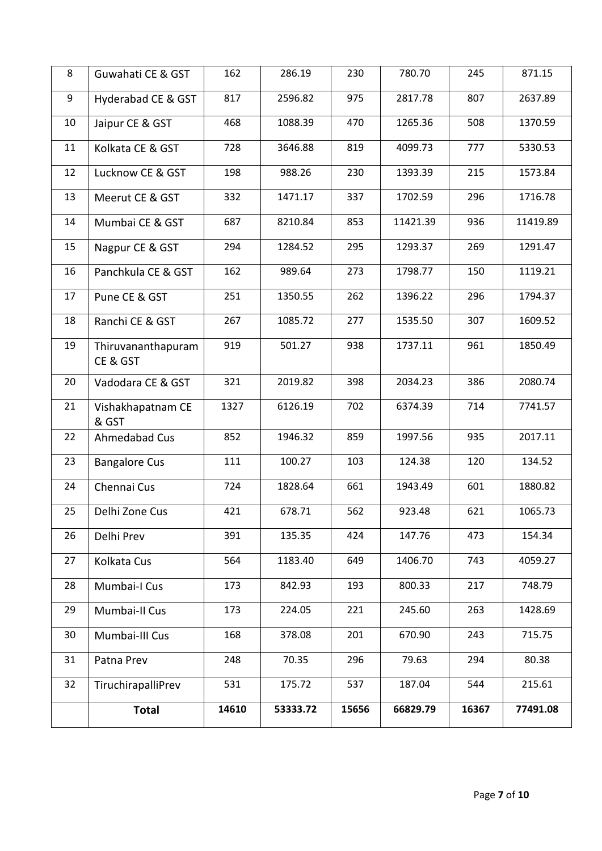| 8  | Guwahati CE & GST              | 162   | 286.19   | 230   | 780.70   | 245   | 871.15   |
|----|--------------------------------|-------|----------|-------|----------|-------|----------|
| 9  | Hyderabad CE & GST             | 817   | 2596.82  | 975   | 2817.78  | 807   | 2637.89  |
| 10 | Jaipur CE & GST                | 468   | 1088.39  | 470   | 1265.36  | 508   | 1370.59  |
| 11 | Kolkata CE & GST               | 728   | 3646.88  | 819   | 4099.73  | 777   | 5330.53  |
| 12 | Lucknow CE & GST               | 198   | 988.26   | 230   | 1393.39  | 215   | 1573.84  |
| 13 | Meerut CE & GST                | 332   | 1471.17  | 337   | 1702.59  | 296   | 1716.78  |
| 14 | Mumbai CE & GST                | 687   | 8210.84  | 853   | 11421.39 | 936   | 11419.89 |
| 15 | Nagpur CE & GST                | 294   | 1284.52  | 295   | 1293.37  | 269   | 1291.47  |
| 16 | Panchkula CE & GST             | 162   | 989.64   | 273   | 1798.77  | 150   | 1119.21  |
| 17 | Pune CE & GST                  | 251   | 1350.55  | 262   | 1396.22  | 296   | 1794.37  |
| 18 | Ranchi CE & GST                | 267   | 1085.72  | 277   | 1535.50  | 307   | 1609.52  |
| 19 | Thiruvananthapuram<br>CE & GST | 919   | 501.27   | 938   | 1737.11  | 961   | 1850.49  |
| 20 | Vadodara CE & GST              | 321   | 2019.82  | 398   | 2034.23  | 386   | 2080.74  |
| 21 | Vishakhapatnam CE<br>& GST     | 1327  | 6126.19  | 702   | 6374.39  | 714   | 7741.57  |
| 22 | Ahmedabad Cus                  | 852   | 1946.32  | 859   | 1997.56  | 935   | 2017.11  |
| 23 | <b>Bangalore Cus</b>           | 111   | 100.27   | 103   | 124.38   | 120   | 134.52   |
| 24 | Chennai Cus                    | 724   | 1828.64  | 661   | 1943.49  | 601   | 1880.82  |
| 25 | Delhi Zone Cus                 | 421   | 678.71   | 562   | 923.48   | 621   | 1065.73  |
| 26 | Delhi Prev                     | 391   | 135.35   | 424   | 147.76   | 473   | 154.34   |
| 27 | Kolkata Cus                    | 564   | 1183.40  | 649   | 1406.70  | 743   | 4059.27  |
| 28 | Mumbai-I Cus                   | 173   | 842.93   | 193   | 800.33   | 217   | 748.79   |
| 29 | Mumbai-II Cus                  | 173   | 224.05   | 221   | 245.60   | 263   | 1428.69  |
| 30 | Mumbai-III Cus                 | 168   | 378.08   | 201   | 670.90   | 243   | 715.75   |
| 31 | Patna Prev                     | 248   | 70.35    | 296   | 79.63    | 294   | 80.38    |
| 32 | TiruchirapalliPrev             | 531   | 175.72   | 537   | 187.04   | 544   | 215.61   |
|    | <b>Total</b>                   | 14610 | 53333.72 | 15656 | 66829.79 | 16367 | 77491.08 |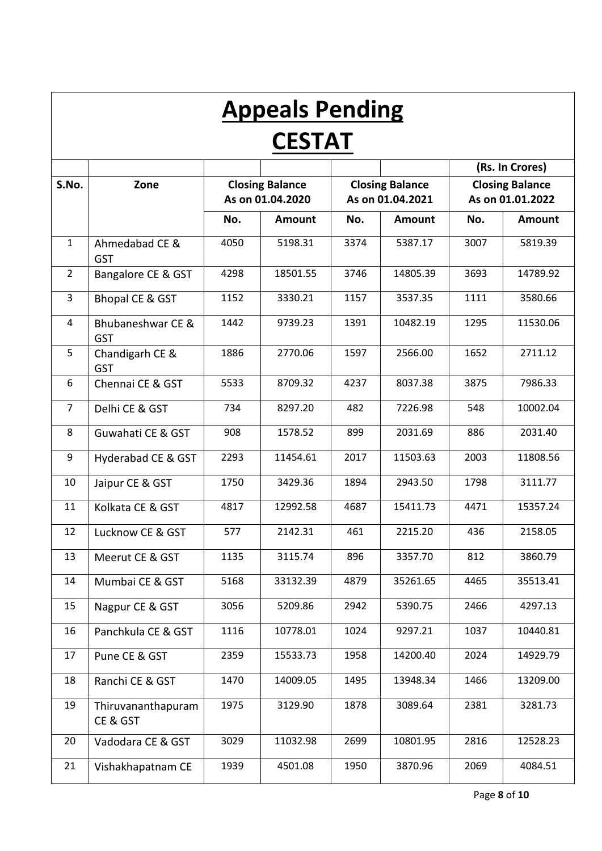| <b>Appeals Pending</b> |                                 |      |                        |      |                        |      |                        |  |  |  |  |  |  |
|------------------------|---------------------------------|------|------------------------|------|------------------------|------|------------------------|--|--|--|--|--|--|
| <b>CESTAT</b>          |                                 |      |                        |      |                        |      |                        |  |  |  |  |  |  |
|                        | (Rs. In Crores)                 |      |                        |      |                        |      |                        |  |  |  |  |  |  |
| S.No.                  | Zone                            |      | <b>Closing Balance</b> |      | <b>Closing Balance</b> |      | <b>Closing Balance</b> |  |  |  |  |  |  |
|                        |                                 |      | As on 01.04.2020       |      | As on 01.04.2021       |      | As on 01.01.2022       |  |  |  |  |  |  |
|                        |                                 | No.  | <b>Amount</b>          | No.  | <b>Amount</b>          | No.  | <b>Amount</b>          |  |  |  |  |  |  |
| $\mathbf{1}$           | Ahmedabad CE &<br><b>GST</b>    | 4050 | 5198.31                | 3374 | 5387.17                | 3007 | 5819.39                |  |  |  |  |  |  |
| $\overline{2}$         | Bangalore CE & GST              | 4298 | 18501.55               | 3746 | 14805.39               | 3693 | 14789.92               |  |  |  |  |  |  |
| 3                      | <b>Bhopal CE &amp; GST</b>      | 1152 | 3330.21                | 1157 | 3537.35                | 1111 | 3580.66                |  |  |  |  |  |  |
| 4                      | Bhubaneshwar CE &<br><b>GST</b> | 1442 | 9739.23                | 1391 | 10482.19               | 1295 | 11530.06               |  |  |  |  |  |  |
| 5                      | Chandigarh CE &<br><b>GST</b>   | 1886 | 2770.06                | 1597 | 2566.00                | 1652 | 2711.12                |  |  |  |  |  |  |
| 6                      | Chennai CE & GST                | 5533 | 8709.32                | 4237 | 8037.38                | 3875 | 7986.33                |  |  |  |  |  |  |
| $\overline{7}$         | Delhi CE & GST                  | 734  | 8297.20                | 482  | 7226.98                | 548  | 10002.04               |  |  |  |  |  |  |
| 8                      | Guwahati CE & GST               | 908  | 1578.52                | 899  | 2031.69                | 886  | 2031.40                |  |  |  |  |  |  |
| 9                      | Hyderabad CE & GST              | 2293 | 11454.61               | 2017 | 11503.63               | 2003 | 11808.56               |  |  |  |  |  |  |
| 10                     | Jaipur CE & GST                 | 1750 | 3429.36                | 1894 | 2943.50                | 1798 | 3111.77                |  |  |  |  |  |  |
| 11                     | Kolkata CE & GST                | 4817 | 12992.58               | 4687 | 15411.73               | 4471 | 15357.24               |  |  |  |  |  |  |
| 12                     | Lucknow CE & GST                | 577  | 2142.31                | 461  | 2215.20                | 436  | 2158.05                |  |  |  |  |  |  |
| 13                     | Meerut CE & GST                 | 1135 | 3115.74                | 896  | 3357.70                | 812  | 3860.79                |  |  |  |  |  |  |
| 14                     | Mumbai CE & GST                 | 5168 | 33132.39               | 4879 | 35261.65               | 4465 | 35513.41               |  |  |  |  |  |  |
| 15                     | Nagpur CE & GST                 | 3056 | 5209.86                | 2942 | 5390.75                | 2466 | 4297.13                |  |  |  |  |  |  |
| 16                     | Panchkula CE & GST              | 1116 | 10778.01               | 1024 | 9297.21                | 1037 | 10440.81               |  |  |  |  |  |  |
| 17                     | Pune CE & GST                   | 2359 | 15533.73               | 1958 | 14200.40               | 2024 | 14929.79               |  |  |  |  |  |  |
| 18                     | Ranchi CE & GST                 | 1470 | 14009.05               | 1495 | 13948.34               | 1466 | 13209.00               |  |  |  |  |  |  |
| 19                     | Thiruvananthapuram<br>CE & GST  | 1975 | 3129.90                | 1878 | 3089.64                | 2381 | 3281.73                |  |  |  |  |  |  |
| 20                     | Vadodara CE & GST               | 3029 | 11032.98               | 2699 | 10801.95               | 2816 | 12528.23               |  |  |  |  |  |  |
| 21                     | Vishakhapatnam CE               | 1939 | 4501.08                | 1950 | 3870.96                | 2069 | 4084.51                |  |  |  |  |  |  |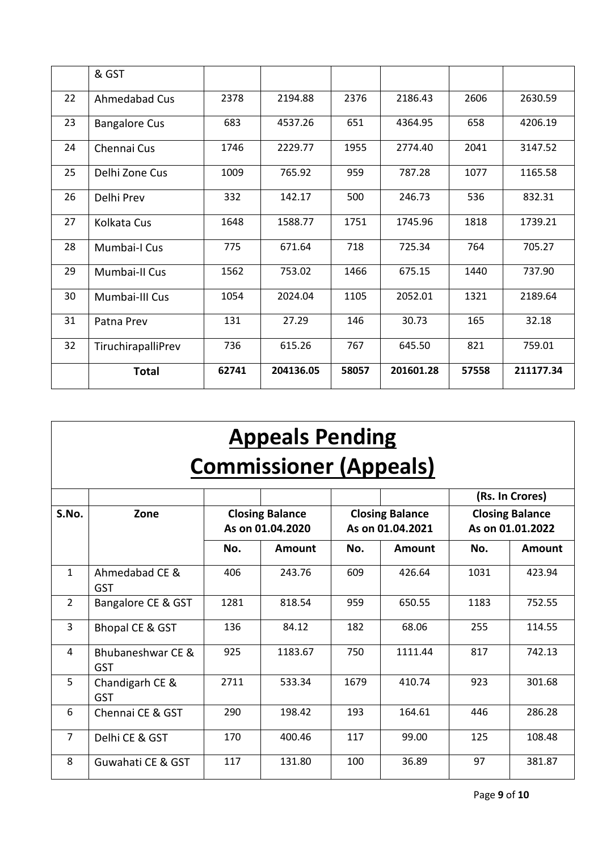|    | & GST                |       |           |       |           |       |           |
|----|----------------------|-------|-----------|-------|-----------|-------|-----------|
| 22 | Ahmedabad Cus        | 2378  | 2194.88   | 2376  | 2186.43   | 2606  | 2630.59   |
| 23 | <b>Bangalore Cus</b> | 683   | 4537.26   | 651   | 4364.95   | 658   | 4206.19   |
| 24 | Chennai Cus          | 1746  | 2229.77   | 1955  | 2774.40   | 2041  | 3147.52   |
| 25 | Delhi Zone Cus       | 1009  | 765.92    | 959   | 787.28    | 1077  | 1165.58   |
| 26 | Delhi Prev           | 332   | 142.17    | 500   | 246.73    | 536   | 832.31    |
| 27 | Kolkata Cus          | 1648  | 1588.77   | 1751  | 1745.96   | 1818  | 1739.21   |
| 28 | Mumbai-I Cus         | 775   | 671.64    | 718   | 725.34    | 764   | 705.27    |
| 29 | Mumbai-II Cus        | 1562  | 753.02    | 1466  | 675.15    | 1440  | 737.90    |
| 30 | Mumbai-III Cus       | 1054  | 2024.04   | 1105  | 2052.01   | 1321  | 2189.64   |
| 31 | Patna Prev           | 131   | 27.29     | 146   | 30.73     | 165   | 32.18     |
| 32 | TiruchirapalliPrev   | 736   | 615.26    | 767   | 645.50    | 821   | 759.01    |
|    | <b>Total</b>         | 62741 | 204136.05 | 58057 | 201601.28 | 57558 | 211177.34 |

# **Appeals Pending Commissioner (Appeals)**

|                |                                 |      |                                                                                                                                        |      |               |      | (Rs. In Crores) |
|----------------|---------------------------------|------|----------------------------------------------------------------------------------------------------------------------------------------|------|---------------|------|-----------------|
| S.No.          | Zone                            |      | <b>Closing Balance</b><br><b>Closing Balance</b><br><b>Closing Balance</b><br>As on 01.04.2020<br>As on 01.04.2021<br>As on 01.01.2022 |      |               |      |                 |
|                |                                 | No.  | <b>Amount</b>                                                                                                                          | No.  | <b>Amount</b> | No.  | <b>Amount</b>   |
| $\mathbf{1}$   | Ahmedabad CE &<br><b>GST</b>    | 406  | 243.76                                                                                                                                 | 609  | 426.64        | 1031 | 423.94          |
| 2              | Bangalore CE & GST              | 1281 | 818.54                                                                                                                                 | 959  | 650.55        | 1183 | 752.55          |
| 3              | Bhopal CE & GST                 | 136  | 84.12                                                                                                                                  | 182  | 68.06         | 255  | 114.55          |
| 4              | Bhubaneshwar CE &<br><b>GST</b> | 925  | 1183.67                                                                                                                                | 750  | 1111.44       | 817  | 742.13          |
| 5              | Chandigarh CE &<br><b>GST</b>   | 2711 | 533.34                                                                                                                                 | 1679 | 410.74        | 923  | 301.68          |
| 6              | Chennai CE & GST                | 290  | 198.42                                                                                                                                 | 193  | 164.61        | 446  | 286.28          |
| $\overline{7}$ | Delhi CE & GST                  | 170  | 400.46                                                                                                                                 | 117  | 99.00         | 125  | 108.48          |
| 8              | Guwahati CE & GST               | 117  | 131.80                                                                                                                                 | 100  | 36.89         | 97   | 381.87          |